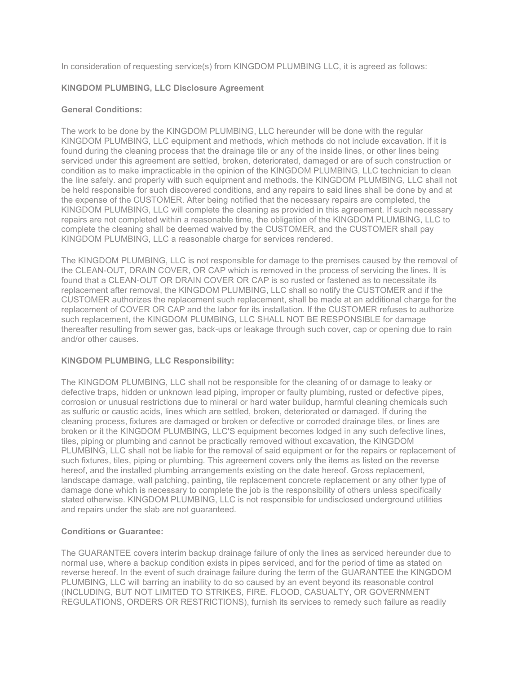In consideration of requesting service(s) from KINGDOM PLUMBING LLC, it is agreed as follows:

## KINGDOM PLUMBING, LLC Disclosure Agreement

## General Conditions:

The work to be done by the KINGDOM PLUMBING, LLC hereunder will be done with the regular KINGDOM PLUMBING, LLC equipment and methods, which methods do not include excavation. If it is found during the cleaning process that the drainage tile or any of the inside lines, or other lines being serviced under this agreement are settled, broken, deteriorated, damaged or are of such construction or condition as to make impracticable in the opinion of the KINGDOM PLUMBING, LLC technician to clean the line safely. and properly with such equipment and methods. the KINGDOM PLUMBING, LLC shall not be held responsible for such discovered conditions, and any repairs to said lines shall be done by and at the expense of the CUSTOMER. After being notified that the necessary repairs are completed, the KINGDOM PLUMBING, LLC will complete the cleaning as provided in this agreement. If such necessary repairs are not completed within a reasonable time, the obligation of the KINGDOM PLUMBING, LLC to complete the cleaning shall be deemed waived by the CUSTOMER, and the CUSTOMER shall pay KINGDOM PLUMBING, LLC a reasonable charge for services rendered.

The KINGDOM PLUMBING, LLC is not responsible for damage to the premises caused by the removal of the CLEAN-OUT, DRAIN COVER, OR CAP which is removed in the process of servicing the lines. It is found that a CLEAN-OUT OR DRAIN COVER OR CAP is so rusted or fastened as to necessitate its replacement after removal, the KINGDOM PLUMBING, LLC shall so notify the CUSTOMER and if the CUSTOMER authorizes the replacement such replacement, shall be made at an additional charge for the replacement of COVER OR CAP and the labor for its installation. If the CUSTOMER refuses to authorize such replacement, the KINGDOM PLUMBING, LLC SHALL NOT BE RESPONSIBLE for damage thereafter resulting from sewer gas, back-ups or leakage through such cover, cap or opening due to rain and/or other causes.

## KINGDOM PLUMBING, LLC Responsibility:

The KINGDOM PLUMBING, LLC shall not be responsible for the cleaning of or damage to leaky or defective traps, hidden or unknown lead piping, improper or faulty plumbing, rusted or defective pipes, corrosion or unusual restrictions due to mineral or hard water buildup, harmful cleaning chemicals such as sulfuric or caustic acids, lines which are settled, broken, deteriorated or damaged. If during the cleaning process, fixtures are damaged or broken or defective or corroded drainage tiles, or lines are broken or it the KINGDOM PLUMBING, LLC'S equipment becomes lodged in any such defective lines, tiles, piping or plumbing and cannot be practically removed without excavation, the KINGDOM PLUMBING, LLC shall not be liable for the removal of said equipment or for the repairs or replacement of such fixtures, tiles, piping or plumbing. This agreement covers only the items as listed on the reverse hereof, and the installed plumbing arrangements existing on the date hereof. Gross replacement, landscape damage, wall patching, painting, tile replacement concrete replacement or any other type of damage done which is necessary to complete the job is the responsibility of others unless specifically stated otherwise. KINGDOM PLUMBING, LLC is not responsible for undisclosed underground utilities and repairs under the slab are not guaranteed.

## Conditions or Guarantee:

The GUARANTEE covers interim backup drainage failure of only the lines as serviced hereunder due to normal use, where a backup condition exists in pipes serviced, and for the period of time as stated on reverse hereof. In the event of such drainage failure during the term of the GUARANTEE the KINGDOM PLUMBING, LLC will barring an inability to do so caused by an event beyond its reasonable control (INCLUDING, BUT NOT LIMITED TO STRIKES, FIRE. FLOOD, CASUALTY, OR GOVERNMENT REGULATIONS, ORDERS OR RESTRICTIONS), furnish its services to remedy such failure as readily